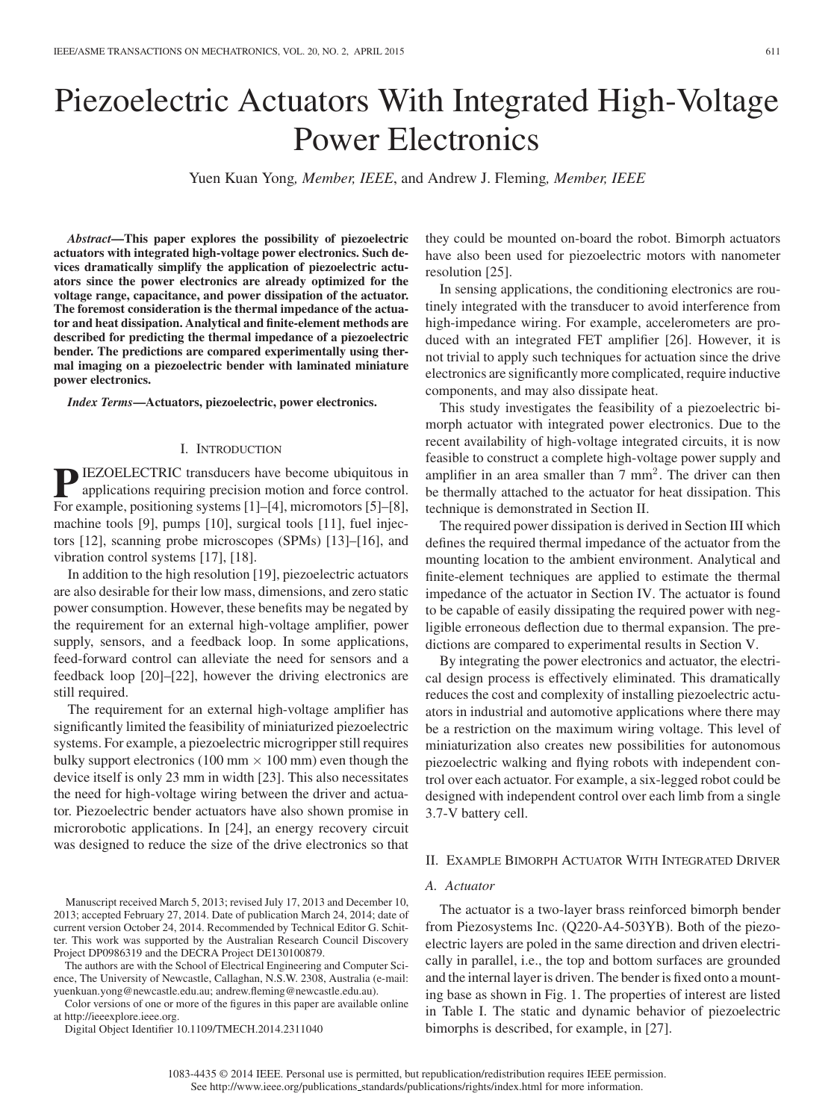# Piezoelectric Actuators With Integrated High-Voltage Power Electronics

Yuen Kuan Yong*, Member, IEEE*, and Andrew J. Fleming*, Member, IEEE*

*Abstract***—This paper explores the possibility of piezoelectric actuators with integrated high-voltage power electronics. Such devices dramatically simplify the application of piezoelectric actuators since the power electronics are already optimized for the voltage range, capacitance, and power dissipation of the actuator. The foremost consideration is the thermal impedance of the actuator and heat dissipation. Analytical and finite-element methods are described for predicting the thermal impedance of a piezoelectric bender. The predictions are compared experimentally using thermal imaging on a piezoelectric bender with laminated miniature power electronics.**

*Index Terms***—Actuators, piezoelectric, power electronics.**

#### I. INTRODUCTION

**P**IEZOELECTRIC transducers have become ubiquitous in applications requiring precision motion and force control. For example, positioning systems [1]–[4], micromotors [5]–[8], machine tools [9], pumps [10], surgical tools [11], fuel injectors [12], scanning probe microscopes (SPMs) [13]–[16], and vibration control systems [17], [18].

In addition to the high resolution [19], piezoelectric actuators are also desirable for their low mass, dimensions, and zero static power consumption. However, these benefits may be negated by the requirement for an external high-voltage amplifier, power supply, sensors, and a feedback loop. In some applications, feed-forward control can alleviate the need for sensors and a feedback loop [20]–[22], however the driving electronics are still required.

The requirement for an external high-voltage amplifier has significantly limited the feasibility of miniaturized piezoelectric systems. For example, a piezoelectric microgripper still requires bulky support electronics (100 mm  $\times$  100 mm) even though the device itself is only 23 mm in width [23]. This also necessitates the need for high-voltage wiring between the driver and actuator. Piezoelectric bender actuators have also shown promise in microrobotic applications. In [24], an energy recovery circuit was designed to reduce the size of the drive electronics so that

Manuscript received March 5, 2013; revised July 17, 2013 and December 10, 2013; accepted February 27, 2014. Date of publication March 24, 2014; date of current version October 24, 2014. Recommended by Technical Editor G. Schitter. This work was supported by the Australian Research Council Discovery Project DP0986319 and the DECRA Project DE130100879.

The authors are with the School of Electrical Engineering and Computer Science, The University of Newcastle, Callaghan, N.S.W. 2308, Australia (e-mail: yuenkuan.yong@newcastle.edu.au; andrew.fleming@newcastle.edu.au).

Color versions of one or more of the figures in this paper are available online at http://ieeexplore.ieee.org.

Digital Object Identifier 10.1109/TMECH.2014.2311040

they could be mounted on-board the robot. Bimorph actuators have also been used for piezoelectric motors with nanometer resolution [25].

In sensing applications, the conditioning electronics are routinely integrated with the transducer to avoid interference from high-impedance wiring. For example, accelerometers are produced with an integrated FET amplifier [26]. However, it is not trivial to apply such techniques for actuation since the drive electronics are significantly more complicated, require inductive components, and may also dissipate heat.

This study investigates the feasibility of a piezoelectric bimorph actuator with integrated power electronics. Due to the recent availability of high-voltage integrated circuits, it is now feasible to construct a complete high-voltage power supply and amplifier in an area smaller than  $7 \text{ mm}^2$ . The driver can then be thermally attached to the actuator for heat dissipation. This technique is demonstrated in Section II.

The required power dissipation is derived in Section III which defines the required thermal impedance of the actuator from the mounting location to the ambient environment. Analytical and finite-element techniques are applied to estimate the thermal impedance of the actuator in Section IV. The actuator is found to be capable of easily dissipating the required power with negligible erroneous deflection due to thermal expansion. The predictions are compared to experimental results in Section V.

By integrating the power electronics and actuator, the electrical design process is effectively eliminated. This dramatically reduces the cost and complexity of installing piezoelectric actuators in industrial and automotive applications where there may be a restriction on the maximum wiring voltage. This level of miniaturization also creates new possibilities for autonomous piezoelectric walking and flying robots with independent control over each actuator. For example, a six-legged robot could be designed with independent control over each limb from a single 3.7-V battery cell.

#### II. EXAMPLE BIMORPH ACTUATOR WITH INTEGRATED DRIVER

## *A. Actuator*

The actuator is a two-layer brass reinforced bimorph bender from Piezosystems Inc. (Q220-A4-503YB). Both of the piezoelectric layers are poled in the same direction and driven electrically in parallel, i.e., the top and bottom surfaces are grounded and the internal layer is driven. The bender is fixed onto a mounting base as shown in Fig. 1. The properties of interest are listed in Table I. The static and dynamic behavior of piezoelectric bimorphs is described, for example, in [27].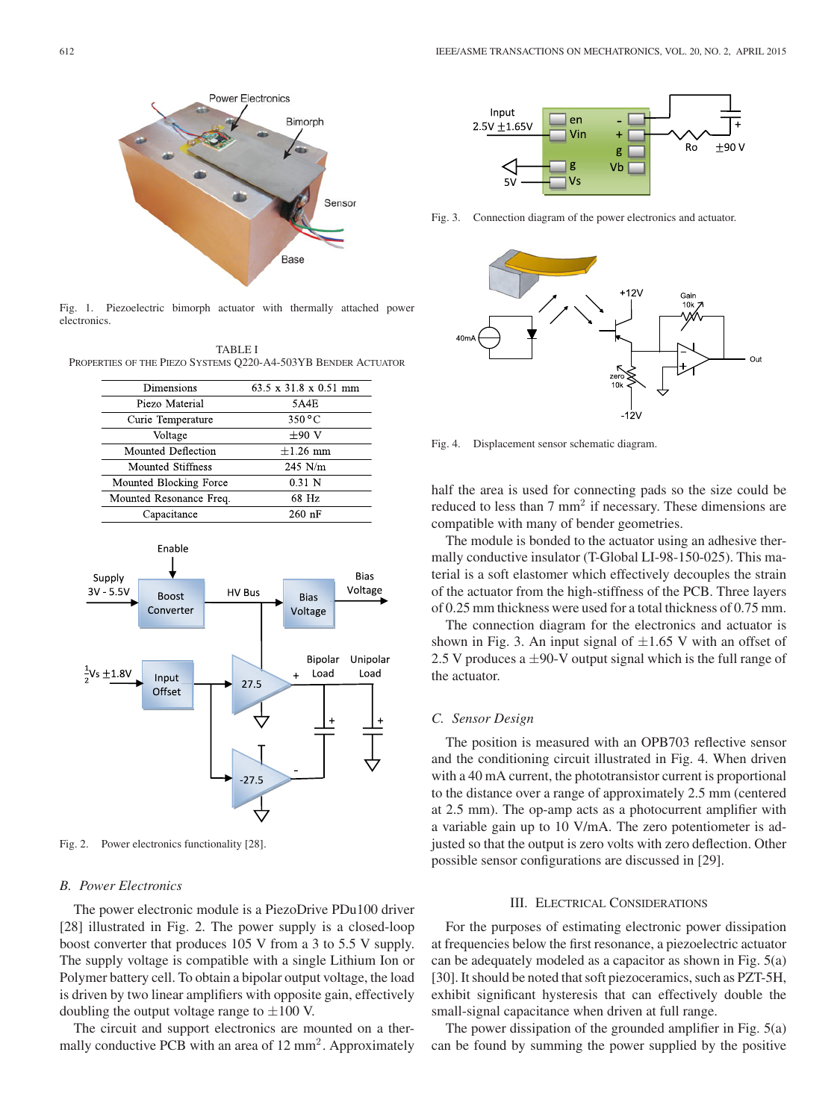

Fig. 1. Piezoelectric bimorph actuator with thermally attached power electronics.

TABLE I PROPERTIES OF THE PIEZO SYSTEMS Q220-A4-503YB BENDER ACTUATOR

| Dimensions              | 63.5 x 31.8 x 0.51 mm     |  |
|-------------------------|---------------------------|--|
| Piezo Material          | 5A4E                      |  |
| Curie Temperature       | $350\,^{\circ}\mathrm{C}$ |  |
| Voltage                 | $\pm 90$ V                |  |
| Mounted Deflection      | $\pm 1.26$ mm             |  |
| Mounted Stiffness       | $245$ N/m                 |  |
| Mounted Blocking Force  | $0.31\,N$                 |  |
| Mounted Resonance Freq. | 68 Hz                     |  |
| Capacitance             | $260$ nF                  |  |



Fig. 2. Power electronics functionality [28].

## *B. Power Electronics*

The power electronic module is a PiezoDrive PDu100 driver [28] illustrated in Fig. 2. The power supply is a closed-loop boost converter that produces 105 V from a 3 to 5.5 V supply. The supply voltage is compatible with a single Lithium Ion or Polymer battery cell. To obtain a bipolar output voltage, the load is driven by two linear amplifiers with opposite gain, effectively doubling the output voltage range to  $\pm 100$  V.

The circuit and support electronics are mounted on a thermally conductive PCB with an area of  $12 \text{ mm}^2$ . Approximately



Fig. 3. Connection diagram of the power electronics and actuator.



Fig. 4. Displacement sensor schematic diagram.

half the area is used for connecting pads so the size could be reduced to less than 7 mm<sup>2</sup> if necessary. These dimensions are compatible with many of bender geometries.

The module is bonded to the actuator using an adhesive thermally conductive insulator (T-Global LI-98-150-025). This material is a soft elastomer which effectively decouples the strain of the actuator from the high-stiffness of the PCB. Three layers of 0.25 mm thickness were used for a total thickness of 0.75 mm.

The connection diagram for the electronics and actuator is shown in Fig. 3. An input signal of  $\pm 1.65$  V with an offset of 2.5 V produces a  $\pm$ 90-V output signal which is the full range of the actuator.

#### *C. Sensor Design*

The position is measured with an OPB703 reflective sensor and the conditioning circuit illustrated in Fig. 4. When driven with a 40 mA current, the phototransistor current is proportional to the distance over a range of approximately 2.5 mm (centered at 2.5 mm). The op-amp acts as a photocurrent amplifier with a variable gain up to 10 V/mA. The zero potentiometer is adjusted so that the output is zero volts with zero deflection. Other possible sensor configurations are discussed in [29].

## III. ELECTRICAL CONSIDERATIONS

For the purposes of estimating electronic power dissipation at frequencies below the first resonance, a piezoelectric actuator can be adequately modeled as a capacitor as shown in Fig. 5(a) [30]. It should be noted that soft piezoceramics, such as PZT-5H, exhibit significant hysteresis that can effectively double the small-signal capacitance when driven at full range.

The power dissipation of the grounded amplifier in Fig. 5(a) can be found by summing the power supplied by the positive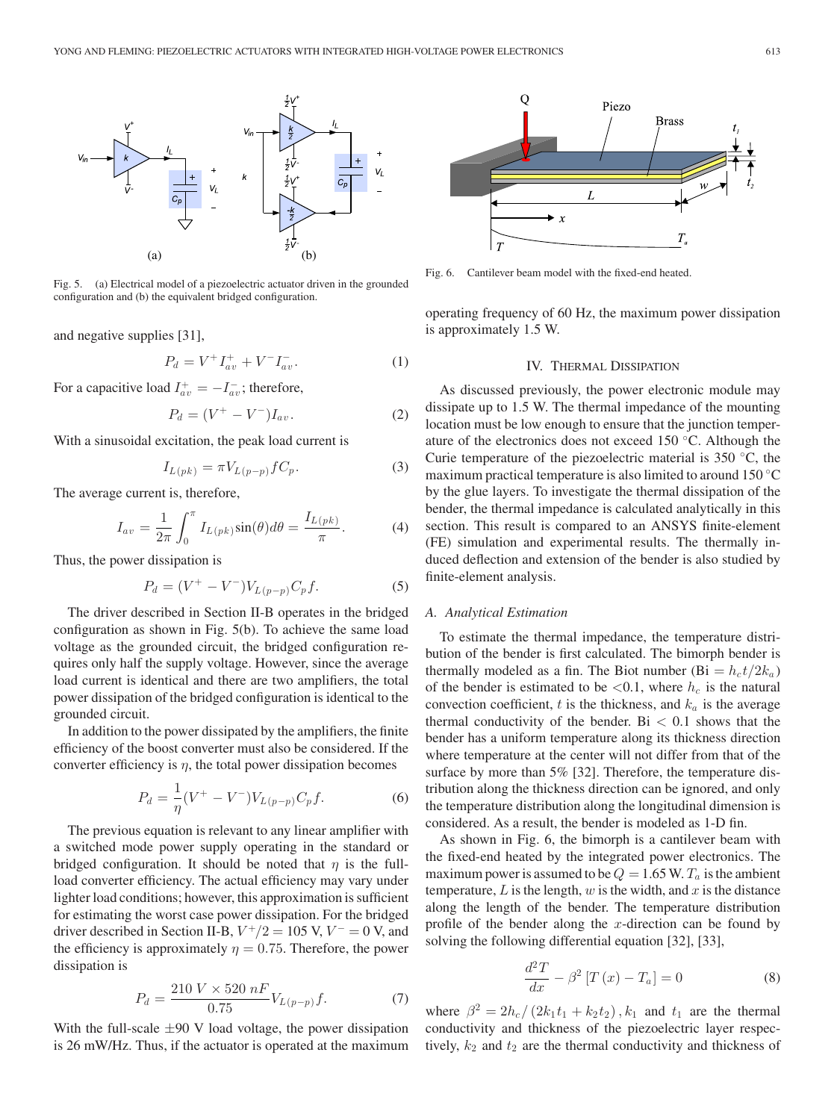

Fig. 5. (a) Electrical model of a piezoelectric actuator driven in the grounded configuration and (b) the equivalent bridged configuration.

and negative supplies [31],

$$
P_d = V^+ I^+_{av} + V^- I^-_{av}.
$$
 (1)

For a capacitive load  $I_{av}^+ = -I_{av}^-$ ; therefore,

$$
P_d = (V^+ - V^-)I_{av}.
$$
 (2)

With a sinusoidal excitation, the peak load current is

$$
I_{L(pk)} = \pi V_{L(p-p)} f C_p. \tag{3}
$$

The average current is, therefore,

$$
I_{av} = \frac{1}{2\pi} \int_0^{\pi} I_{L(pk)} \sin(\theta) d\theta = \frac{I_{L(pk)}}{\pi}.
$$
 (4)

Thus, the power dissipation is

$$
P_d = (V^+ - V^-)V_{L(p-p)}C_p f.
$$
 (5)

The driver described in Section II-B operates in the bridged configuration as shown in Fig. 5(b). To achieve the same load voltage as the grounded circuit, the bridged configuration requires only half the supply voltage. However, since the average load current is identical and there are two amplifiers, the total power dissipation of the bridged configuration is identical to the grounded circuit.

In addition to the power dissipated by the amplifiers, the finite efficiency of the boost converter must also be considered. If the converter efficiency is  $\eta$ , the total power dissipation becomes

$$
P_d = \frac{1}{\eta} (V^+ - V^-) V_{L(p-p)} C_p f.
$$
 (6)

The previous equation is relevant to any linear amplifier with a switched mode power supply operating in the standard or bridged configuration. It should be noted that  $\eta$  is the fullload converter efficiency. The actual efficiency may vary under lighter load conditions; however, this approximation is sufficient for estimating the worst case power dissipation. For the bridged driver described in Section II-B,  $V^+/2 = 105$  V,  $V^- = 0$  V, and the efficiency is approximately  $\eta = 0.75$ . Therefore, the power dissipation is

$$
P_d = \frac{210\ V \times 520\ nF}{0.75} V_{L(p-p)} f.
$$
 (7)

With the full-scale  $\pm 90$  V load voltage, the power dissipation is 26 mW/Hz. Thus, if the actuator is operated at the maximum



Fig. 6. Cantilever beam model with the fixed-end heated.

operating frequency of 60 Hz, the maximum power dissipation is approximately 1.5 W.

## IV. THERMAL DISSIPATION

As discussed previously, the power electronic module may dissipate up to 1.5 W. The thermal impedance of the mounting location must be low enough to ensure that the junction temperature of the electronics does not exceed 150 ◦C. Although the Curie temperature of the piezoelectric material is 350 ◦C, the maximum practical temperature is also limited to around 150 ◦C by the glue layers. To investigate the thermal dissipation of the bender, the thermal impedance is calculated analytically in this section. This result is compared to an ANSYS finite-element (FE) simulation and experimental results. The thermally induced deflection and extension of the bender is also studied by finite-element analysis.

## *A. Analytical Estimation*

To estimate the thermal impedance, the temperature distribution of the bender is first calculated. The bimorph bender is thermally modeled as a fin. The Biot number (Bi =  $h_c t/2k_a$ ) of the bender is estimated to be  $\langle 0.1$ , where  $h_c$  is the natural convection coefficient, t is the thickness, and  $k_a$  is the average thermal conductivity of the bender. Bi  $< 0.1$  shows that the bender has a uniform temperature along its thickness direction where temperature at the center will not differ from that of the surface by more than 5% [32]. Therefore, the temperature distribution along the thickness direction can be ignored, and only the temperature distribution along the longitudinal dimension is considered. As a result, the bender is modeled as 1-D fin.

As shown in Fig. 6, the bimorph is a cantilever beam with the fixed-end heated by the integrated power electronics. The maximum power is assumed to be  $Q = 1.65$  W.  $T_a$  is the ambient temperature, L is the length,  $w$  is the width, and  $x$  is the distance along the length of the bender. The temperature distribution profile of the bender along the x-direction can be found by solving the following differential equation [32], [33],

$$
\frac{d^2T}{dx} - \beta^2 \left[ T\left( x \right) - T_a \right] = 0 \tag{8}
$$

where  $\beta^2 = 2h_c/(2k_1t_1 + k_2t_2)$ ,  $k_1$  and  $t_1$  are the thermal conductivity and thickness of the piezoelectric layer respectively,  $k_2$  and  $t_2$  are the thermal conductivity and thickness of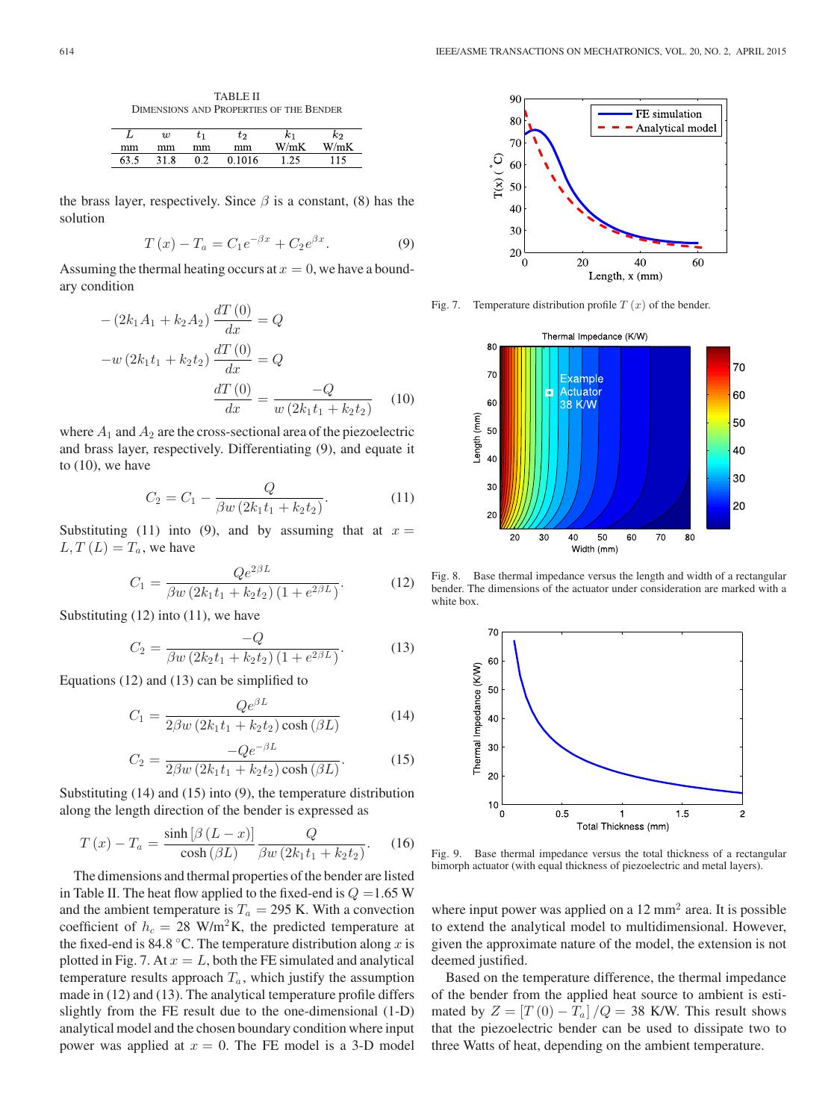TABLE II DIMENSIONS AND PROPERTIES OF THE BENDER

|    | $\scriptstyle{w}$ |    | $t_2\$ | $\sim$ | $\kappa_2$ |
|----|-------------------|----|--------|--------|------------|
| mm | mm                | mm | mm     | W/mK   | W/mK       |
|    | 8<br>ו כ          | ∩າ |        |        |            |

the brass layer, respectively. Since  $\beta$  is a constant, (8) has the solution

$$
T(x) - T_a = C_1 e^{-\beta x} + C_2 e^{\beta x}.
$$
 (9)

Assuming the thermal heating occurs at  $x = 0$ , we have a boundary condition

$$
-(2k_1A_1 + k_2A_2)\frac{dT(0)}{dx} = Q
$$

$$
-w(2k_1t_1 + k_2t_2)\frac{dT(0)}{dx} = Q
$$

$$
\frac{dT(0)}{dx} = \frac{-Q}{w(2k_1t_1 + k_2t_2)}
$$
(10)

where  $A_1$  and  $A_2$  are the cross-sectional area of the piezoelectric and brass layer, respectively. Differentiating (9), and equate it to  $(10)$ , we have

$$
C_2 = C_1 - \frac{Q}{\beta w \left(2k_1 t_1 + k_2 t_2\right)}.\tag{11}
$$

Substituting (11) into (9), and by assuming that at  $x =$  $L, T(L) = T_a$ , we have

$$
C_1 = \frac{Qe^{2\beta L}}{\beta w \left(2k_1 t_1 + k_2 t_2\right) \left(1 + e^{2\beta L}\right)}.
$$
 (12)

Substituting  $(12)$  into  $(11)$ , we have

$$
C_2 = \frac{-Q}{\beta w \left(2k_2 t_1 + k_2 t_2\right) \left(1 + e^{2\beta L}\right)}.
$$
 (13)

Equations (12) and (13) can be simplified to

$$
C_1 = \frac{Qe^{\beta L}}{2\beta w \left(2k_1t_1 + k_2t_2\right)\cosh\left(\beta L\right)}\tag{14}
$$

$$
C_2 = \frac{-Qe^{-\beta L}}{2\beta w \left(2k_1 t_1 + k_2 t_2\right) \cosh\left(\beta L\right)}.\tag{15}
$$

Substituting (14) and (15) into (9), the temperature distribution along the length direction of the bender is expressed as

$$
T(x) - T_a = \frac{\sinh\left[\beta\left(L-x\right)\right]}{\cosh\left(\beta L\right)} \frac{Q}{\beta w \left(2k_1 t_1 + k_2 t_2\right)}.
$$
 (16)

The dimensions and thermal properties of the bender are listed in Table II. The heat flow applied to the fixed-end is  $Q = 1.65$  W and the ambient temperature is  $T_a = 295$  K. With a convection coefficient of  $h_c = 28$  W/m<sup>2</sup>K, the predicted temperature at the fixed-end is 84.8 °C. The temperature distribution along x is plotted in Fig. 7. At  $x = L$ , both the FE simulated and analytical temperature results approach  $T_a$ , which justify the assumption made in (12) and (13). The analytical temperature profile differs slightly from the FE result due to the one-dimensional (1-D) analytical model and the chosen boundary condition where input power was applied at  $x = 0$ . The FE model is a 3-D model



Fig. 7. Temperature distribution profile  $T(x)$  of the bender.



Fig. 8. Base thermal impedance versus the length and width of a rectangular bender. The dimensions of the actuator under consideration are marked with a white box.



Fig. 9. Base thermal impedance versus the total thickness of a rectangular bimorph actuator (with equal thickness of piezoelectric and metal layers).

where input power was applied on a  $12 \text{ mm}^2$  area. It is possible to extend the analytical model to multidimensional. However, given the approximate nature of the model, the extension is not deemed justified.

Based on the temperature difference, the thermal impedance of the bender from the applied heat source to ambient is estimated by  $Z = [T(0) - T_a]/Q = 38$  K/W. This result shows that the piezoelectric bender can be used to dissipate two to three Watts of heat, depending on the ambient temperature.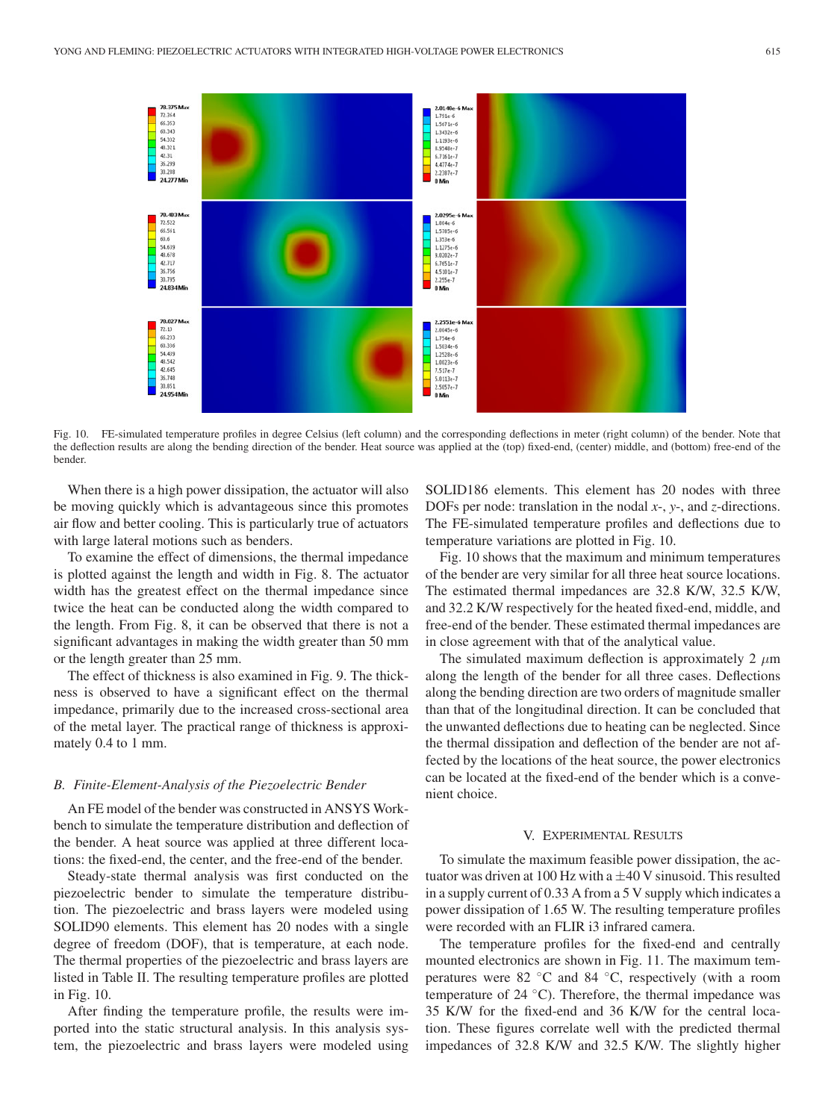

Fig. 10. FE-simulated temperature profiles in degree Celsius (left column) and the corresponding deflections in meter (right column) of the bender. Note that the deflection results are along the bending direction of the bender. Heat source was applied at the (top) fixed-end, (center) middle, and (bottom) free-end of the bender.

When there is a high power dissipation, the actuator will also be moving quickly which is advantageous since this promotes air flow and better cooling. This is particularly true of actuators with large lateral motions such as benders.

To examine the effect of dimensions, the thermal impedance is plotted against the length and width in Fig. 8. The actuator width has the greatest effect on the thermal impedance since twice the heat can be conducted along the width compared to the length. From Fig. 8, it can be observed that there is not a significant advantages in making the width greater than 50 mm or the length greater than 25 mm.

The effect of thickness is also examined in Fig. 9. The thickness is observed to have a significant effect on the thermal impedance, primarily due to the increased cross-sectional area of the metal layer. The practical range of thickness is approximately 0.4 to 1 mm.

#### *B. Finite-Element-Analysis of the Piezoelectric Bender*

An FE model of the bender was constructed in ANSYS Workbench to simulate the temperature distribution and deflection of the bender. A heat source was applied at three different locations: the fixed-end, the center, and the free-end of the bender.

Steady-state thermal analysis was first conducted on the piezoelectric bender to simulate the temperature distribution. The piezoelectric and brass layers were modeled using SOLID90 elements. This element has 20 nodes with a single degree of freedom (DOF), that is temperature, at each node. The thermal properties of the piezoelectric and brass layers are listed in Table II. The resulting temperature profiles are plotted in Fig. 10.

After finding the temperature profile, the results were imported into the static structural analysis. In this analysis system, the piezoelectric and brass layers were modeled using SOLID186 elements. This element has 20 nodes with three DOFs per node: translation in the nodal *x*-, *y*-, and *z*-directions. The FE-simulated temperature profiles and deflections due to temperature variations are plotted in Fig. 10.

Fig. 10 shows that the maximum and minimum temperatures of the bender are very similar for all three heat source locations. The estimated thermal impedances are 32.8 K/W, 32.5 K/W, and 32.2 K/W respectively for the heated fixed-end, middle, and free-end of the bender. These estimated thermal impedances are in close agreement with that of the analytical value.

The simulated maximum deflection is approximately 2  $\mu$ m along the length of the bender for all three cases. Deflections along the bending direction are two orders of magnitude smaller than that of the longitudinal direction. It can be concluded that the unwanted deflections due to heating can be neglected. Since the thermal dissipation and deflection of the bender are not affected by the locations of the heat source, the power electronics can be located at the fixed-end of the bender which is a convenient choice.

#### V. EXPERIMENTAL RESULTS

To simulate the maximum feasible power dissipation, the actuator was driven at 100 Hz with a  $\pm$ 40 V sinusoid. This resulted in a supply current of 0.33 A from a 5 V supply which indicates a power dissipation of 1.65 W. The resulting temperature profiles were recorded with an FLIR i3 infrared camera.

The temperature profiles for the fixed-end and centrally mounted electronics are shown in Fig. 11. The maximum temperatures were 82 ◦C and 84 ◦C, respectively (with a room temperature of 24 ◦C). Therefore, the thermal impedance was 35 K/W for the fixed-end and 36 K/W for the central location. These figures correlate well with the predicted thermal impedances of 32.8 K/W and 32.5 K/W. The slightly higher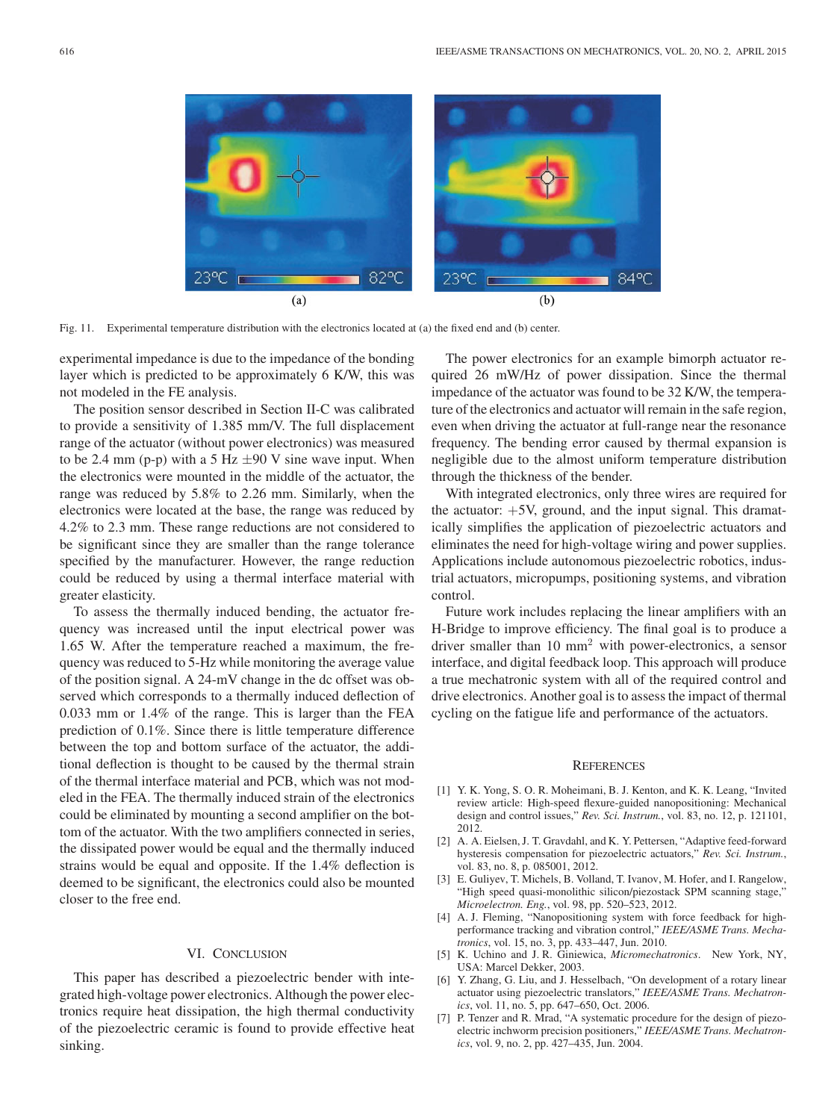

Fig. 11. Experimental temperature distribution with the electronics located at (a) the fixed end and (b) center.

experimental impedance is due to the impedance of the bonding layer which is predicted to be approximately 6 K/W, this was not modeled in the FE analysis.

The position sensor described in Section II-C was calibrated to provide a sensitivity of 1.385 mm/V. The full displacement range of the actuator (without power electronics) was measured to be 2.4 mm (p-p) with a 5 Hz  $\pm$ 90 V sine wave input. When the electronics were mounted in the middle of the actuator, the range was reduced by 5.8% to 2.26 mm. Similarly, when the electronics were located at the base, the range was reduced by 4.2% to 2.3 mm. These range reductions are not considered to be significant since they are smaller than the range tolerance specified by the manufacturer. However, the range reduction could be reduced by using a thermal interface material with greater elasticity.

To assess the thermally induced bending, the actuator frequency was increased until the input electrical power was 1.65 W. After the temperature reached a maximum, the frequency was reduced to 5-Hz while monitoring the average value of the position signal. A 24-mV change in the dc offset was observed which corresponds to a thermally induced deflection of 0.033 mm or 1.4% of the range. This is larger than the FEA prediction of 0.1%. Since there is little temperature difference between the top and bottom surface of the actuator, the additional deflection is thought to be caused by the thermal strain of the thermal interface material and PCB, which was not modeled in the FEA. The thermally induced strain of the electronics could be eliminated by mounting a second amplifier on the bottom of the actuator. With the two amplifiers connected in series, the dissipated power would be equal and the thermally induced strains would be equal and opposite. If the 1.4% deflection is deemed to be significant, the electronics could also be mounted closer to the free end.

# VI. CONCLUSION

This paper has described a piezoelectric bender with integrated high-voltage power electronics. Although the power electronics require heat dissipation, the high thermal conductivity of the piezoelectric ceramic is found to provide effective heat sinking.

The power electronics for an example bimorph actuator required 26 mW/Hz of power dissipation. Since the thermal impedance of the actuator was found to be 32 K/W, the temperature of the electronics and actuator will remain in the safe region, even when driving the actuator at full-range near the resonance frequency. The bending error caused by thermal expansion is negligible due to the almost uniform temperature distribution through the thickness of the bender.

With integrated electronics, only three wires are required for the actuator:  $+5V$ , ground, and the input signal. This dramatically simplifies the application of piezoelectric actuators and eliminates the need for high-voltage wiring and power supplies. Applications include autonomous piezoelectric robotics, industrial actuators, micropumps, positioning systems, and vibration control.

Future work includes replacing the linear amplifiers with an H-Bridge to improve efficiency. The final goal is to produce a driver smaller than 10 mm<sup>2</sup> with power-electronics, a sensor interface, and digital feedback loop. This approach will produce a true mechatronic system with all of the required control and drive electronics. Another goal is to assess the impact of thermal cycling on the fatigue life and performance of the actuators.

#### **REFERENCES**

- [1] Y. K. Yong, S. O. R. Moheimani, B. J. Kenton, and K. K. Leang, "Invited review article: High-speed flexure-guided nanopositioning: Mechanical design and control issues," *Rev. Sci. Instrum.*, vol. 83, no. 12, p. 121101, 2012.
- [2] A. A. Eielsen, J. T. Gravdahl, and K. Y. Pettersen, "Adaptive feed-forward hysteresis compensation for piezoelectric actuators," *Rev. Sci. Instrum.*, vol. 83, no. 8, p. 085001, 2012.
- [3] E. Guliyev, T. Michels, B. Volland, T. Ivanov, M. Hofer, and I. Rangelow, "High speed quasi-monolithic silicon/piezostack SPM scanning stage," *Microelectron. Eng.*, vol. 98, pp. 520–523, 2012.
- [4] A. J. Fleming, "Nanopositioning system with force feedback for highperformance tracking and vibration control," *IEEE/ASME Trans. Mechatronics*, vol. 15, no. 3, pp. 433–447, Jun. 2010.
- [5] K. Uchino and J. R. Giniewica, *Micromechatronics*. New York, NY, USA: Marcel Dekker, 2003.
- [6] Y. Zhang, G. Liu, and J. Hesselbach, "On development of a rotary linear actuator using piezoelectric translators," *IEEE/ASME Trans. Mechatronics*, vol. 11, no. 5, pp. 647–650, Oct. 2006.
- [7] P. Tenzer and R. Mrad, "A systematic procedure for the design of piezoelectric inchworm precision positioners," *IEEE/ASME Trans. Mechatronics*, vol. 9, no. 2, pp. 427–435, Jun. 2004.